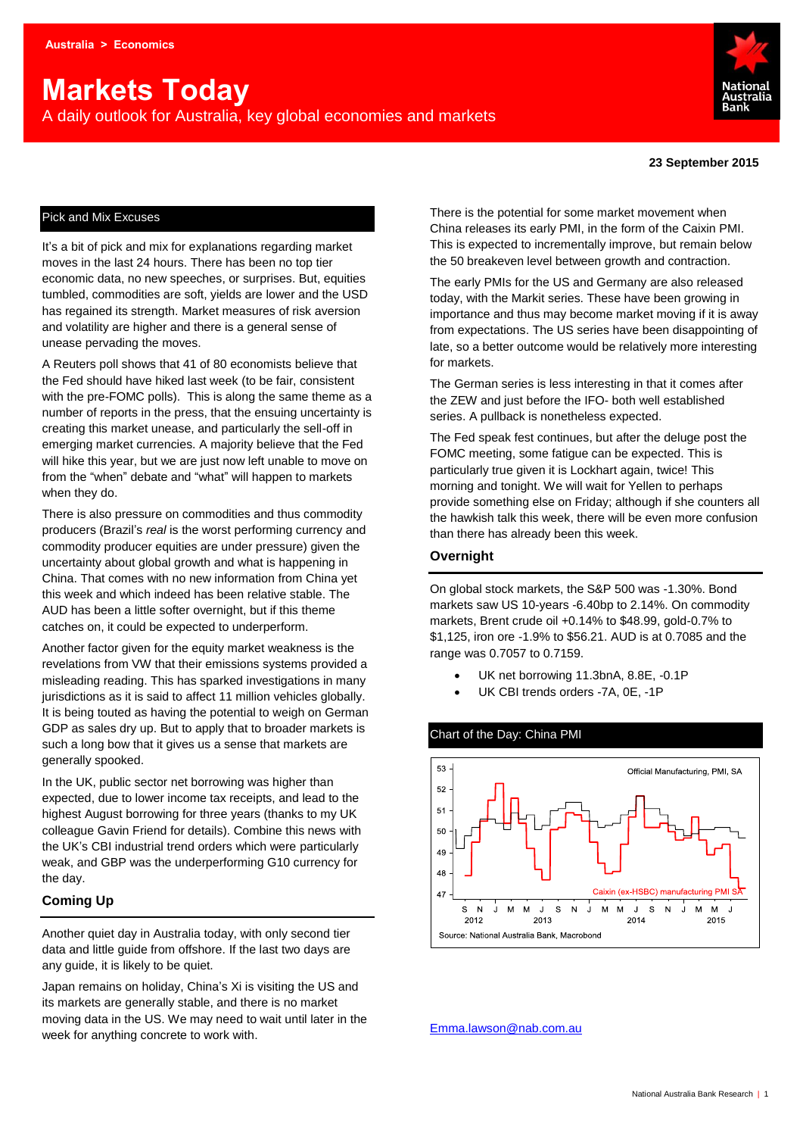# **Markets Today**

A daily outlook for Australia, key global economies and markets



#### **23 September 2015**

#### Pick and Mix Excuses

It's a bit of pick and mix for explanations regarding market moves in the last 24 hours. There has been no top tier economic data, no new speeches, or surprises. But, equities tumbled, commodities are soft, yields are lower and the USD has regained its strength. Market measures of risk aversion and volatility are higher and there is a general sense of unease pervading the moves.

A Reuters poll shows that 41 of 80 economists believe that the Fed should have hiked last week (to be fair, consistent with the pre-FOMC polls). This is along the same theme as a number of reports in the press, that the ensuing uncertainty is creating this market unease, and particularly the sell-off in emerging market currencies. A majority believe that the Fed will hike this year, but we are just now left unable to move on from the "when" debate and "what" will happen to markets when they do.

There is also pressure on commodities and thus commodity producers (Brazil's *real* is the worst performing currency and commodity producer equities are under pressure) given the uncertainty about global growth and what is happening in China. That comes with no new information from China yet this week and which indeed has been relative stable. The AUD has been a little softer overnight, but if this theme catches on, it could be expected to underperform.

Another factor given for the equity market weakness is the revelations from VW that their emissions systems provided a misleading reading. This has sparked investigations in many jurisdictions as it is said to affect 11 million vehicles globally. It is being touted as having the potential to weigh on German GDP as sales dry up. But to apply that to broader markets is such a long bow that it gives us a sense that markets are generally spooked.

In the UK, public sector net borrowing was higher than expected, due to lower income tax receipts, and lead to the highest August borrowing for three years (thanks to my UK colleague Gavin Friend for details). Combine this news with the UK's CBI industrial trend orders which were particularly weak, and GBP was the underperforming G10 currency for the day.

#### **Coming Up**

Another quiet day in Australia today, with only second tier data and little guide from offshore. If the last two days are any guide, it is likely to be quiet.

Japan remains on holiday, China's Xi is visiting the US and its markets are generally stable, and there is no market moving data in the US. We may need to wait until later in the week for anything concrete to work with.

There is the potential for some market movement when China releases its early PMI, in the form of the Caixin PMI. This is expected to incrementally improve, but remain below the 50 breakeven level between growth and contraction.

The early PMIs for the US and Germany are also released today, with the Markit series. These have been growing in importance and thus may become market moving if it is away from expectations. The US series have been disappointing of late, so a better outcome would be relatively more interesting for markets.

The German series is less interesting in that it comes after the ZEW and just before the IFO- both well established series. A pullback is nonetheless expected.

The Fed speak fest continues, but after the deluge post the FOMC meeting, some fatigue can be expected. This is particularly true given it is Lockhart again, twice! This morning and tonight. We will wait for Yellen to perhaps provide something else on Friday; although if she counters all the hawkish talk this week, there will be even more confusion than there has already been this week.

#### **Overnight**

On global stock markets, the S&P 500 was -1.30%. Bond markets saw US 10-years -6.40bp to 2.14%. On commodity markets, Brent crude oil +0.14% to \$48.99, gold-0.7% to \$1,125, iron ore -1.9% to \$56.21. AUD is at 0.7085 and the range was 0.7057 to 0.7159.

- UK net borrowing 11.3bnA, 8.8E, -0.1P
- UK CBI trends orders -7A, 0E, -1P

# Chart of the Day: China PMI



[Emma.lawson@nab.com.au](mailto:Emma.lawson@nab.com.au)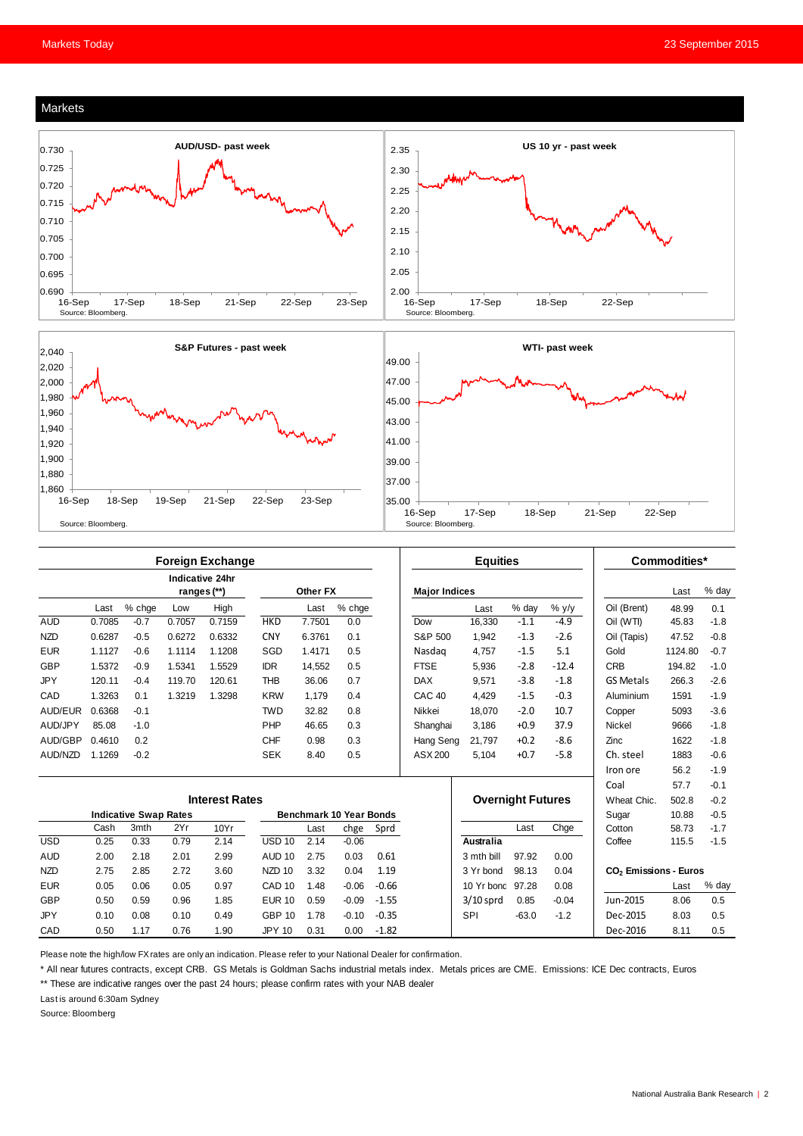





|            | <b>Foreign Exchange</b>      |        |             |                 |                   |                                |         |         | <b>Equities</b>      |                  |                          |         | Commodities*                      |         |        |
|------------|------------------------------|--------|-------------|-----------------|-------------------|--------------------------------|---------|---------|----------------------|------------------|--------------------------|---------|-----------------------------------|---------|--------|
|            |                              |        | ranges (**) | Indicative 24hr |                   | Other FX                       |         |         | <b>Major Indices</b> |                  |                          |         |                                   | Last    | % day  |
|            | Last                         | % chge | Low         | High            |                   | Last                           | % chge  |         |                      | Last             | % day                    | $%$ y/y | Oil (Brent)                       | 48.99   | 0.1    |
| <b>AUD</b> | 0.7085                       | $-0.7$ | 0.7057      | 0.7159          | <b>HKD</b>        | 7.7501                         | 0.0     |         | Dow                  | 16,330           | $-1.1$                   | $-4.9$  | Oil (WTI)                         | 45.83   | $-1.8$ |
| <b>NZD</b> | 0.6287                       | $-0.5$ | 0.6272      | 0.6332          | <b>CNY</b>        | 6.3761                         | 0.1     |         | S&P 500              | 1.942            | $-1.3$                   | $-2.6$  | Oil (Tapis)                       | 47.52   | $-0.8$ |
| <b>EUR</b> | 1.1127                       | $-0.6$ | 1.1114      | 1.1208          | SGD               | 1.4171                         | 0.5     |         | Nasdag               | 4.757            | $-1.5$                   | 5.1     | Gold                              | 1124.80 | $-0.7$ |
| <b>GBP</b> | 1.5372                       | $-0.9$ | 1.5341      | 1.5529          | <b>IDR</b>        | 14.552                         | 0.5     |         | <b>FTSE</b>          | 5.936            | $-2.8$                   | $-12.4$ | <b>CRB</b>                        | 194.82  | $-1.0$ |
| <b>JPY</b> | 120.11                       | $-0.4$ | 119.70      | 120.61          | <b>THB</b>        | 36.06                          | 0.7     |         | <b>DAX</b>           | 9,571            | $-3.8$                   | $-1.8$  | <b>GS Metals</b>                  | 266.3   | $-2.6$ |
| CAD        | 1.3263                       | 0.1    | 1.3219      | 1.3298          | <b>KRW</b>        | 1,179                          | 0.4     |         | <b>CAC 40</b>        | 4,429            | $-1.5$                   | $-0.3$  | Aluminium                         | 1591    | $-1.9$ |
| AUD/EUR    | 0.6368                       | $-0.1$ |             |                 | <b>TWD</b>        | 32.82                          | 0.8     |         | Nikkei               | 18,070           | $-2.0$                   | 10.7    | Copper                            | 5093    | $-3.6$ |
| AUD/JPY    | 85.08                        | $-1.0$ |             |                 | PHP               | 46.65                          | 0.3     |         | Shanghai             | 3,186            | $+0.9$                   | 37.9    | Nickel                            | 9666    | $-1.8$ |
| AUD/GBP    | 0.4610                       | 0.2    |             |                 | <b>CHF</b>        | 0.98                           | 0.3     |         | Hang Seng            | 21.797           | $+0.2$                   | $-8.6$  | Zinc                              | 1622    | $-1.8$ |
| AUD/NZD    | 1.1269                       | $-0.2$ |             |                 | <b>SEK</b>        | 8.40                           | 0.5     |         | ASX 200              | 5.104            | $+0.7$                   | $-5.8$  | Ch. steel                         | 1883    | $-0.6$ |
|            |                              |        |             |                 |                   |                                |         |         |                      |                  |                          |         | Iron ore                          | 56.2    | $-1.9$ |
|            |                              |        |             |                 |                   |                                |         |         |                      |                  |                          |         | Coal                              | 57.7    | $-0.1$ |
|            | <b>Interest Rates</b>        |        |             |                 |                   |                                |         |         |                      |                  | <b>Overnight Futures</b> |         | Wheat Chic.                       | 502.8   | $-0.2$ |
|            | <b>Indicative Swap Rates</b> |        |             |                 |                   | <b>Benchmark 10 Year Bonds</b> |         |         |                      |                  |                          |         | Sugar                             | 10.88   | $-0.5$ |
|            | Cash                         | 3mth   | 2Yr         | 10Yr            |                   | Last                           | chge    | Sprd    |                      |                  | Last                     | Chge    | Cotton                            | 58.73   | $-1.7$ |
| <b>USD</b> | 0.25                         | 0.33   | 0.79        | 2.14            | <b>USD 10</b>     | 2.14                           | $-0.06$ |         |                      | Australia        |                          |         | Coffee                            | 115.5   | $-1.5$ |
| <b>AUD</b> | 2.00                         | 2.18   | 2.01        | 2.99            | AUD <sub>10</sub> | 2.75                           | 0.03    | 0.61    |                      | 3 mth bill       | 97.92                    | 0.00    |                                   |         |        |
| <b>NZD</b> | 2.75                         | 2.85   | 2.72        | 3.60            | NZD <sub>10</sub> | 3.32                           | 0.04    | 1.19    |                      | 3 Yr bond        | 98.13                    | 0.04    | CO <sub>2</sub> Emissions - Euros |         |        |
| <b>EUR</b> | 0.05                         | 0.06   | 0.05        | 0.97            | CAD <sub>10</sub> | 1.48                           | $-0.06$ | $-0.66$ |                      | 10 Yr bond 97.28 |                          | 0.08    |                                   | Last    | % day  |
| <b>GBP</b> | 0.50                         | 0.59   | 0.96        | 1.85            | <b>EUR 10</b>     | 0.59                           | $-0.09$ | $-1.55$ |                      | $3/10$ sprd      | 0.85                     | $-0.04$ | Jun-2015                          | 8.06    | 0.5    |
| <b>JPY</b> | 0.10                         | 0.08   | 0.10        | 0.49            | <b>GBP 10</b>     | 1.78                           | $-0.10$ | $-0.35$ |                      | <b>SPI</b>       | $-63.0$                  | $-1.2$  | Dec-2015                          | 8.03    | 0.5    |
| CAD        | 0.50                         | 1.17   | 0.76        | 1.90            | <b>JPY 10</b>     | 0.31                           | 0.00    | $-1.82$ |                      |                  |                          |         | Dec-2016                          | 8.11    | 0.5    |

Please note the high/low FX rates are only an indication. Please refer to your National Dealer for confirmation.

\* All near futures contracts, except CRB. GS Metals is Goldman Sachs industrial metals index. Metals prices are CME. Emissions: ICE Dec contracts, Euros

\*\* These are indicative ranges over the past 24 hours; please confirm rates with your NAB dealer

Last is around 6:30am Sydney

Source: Bloomberg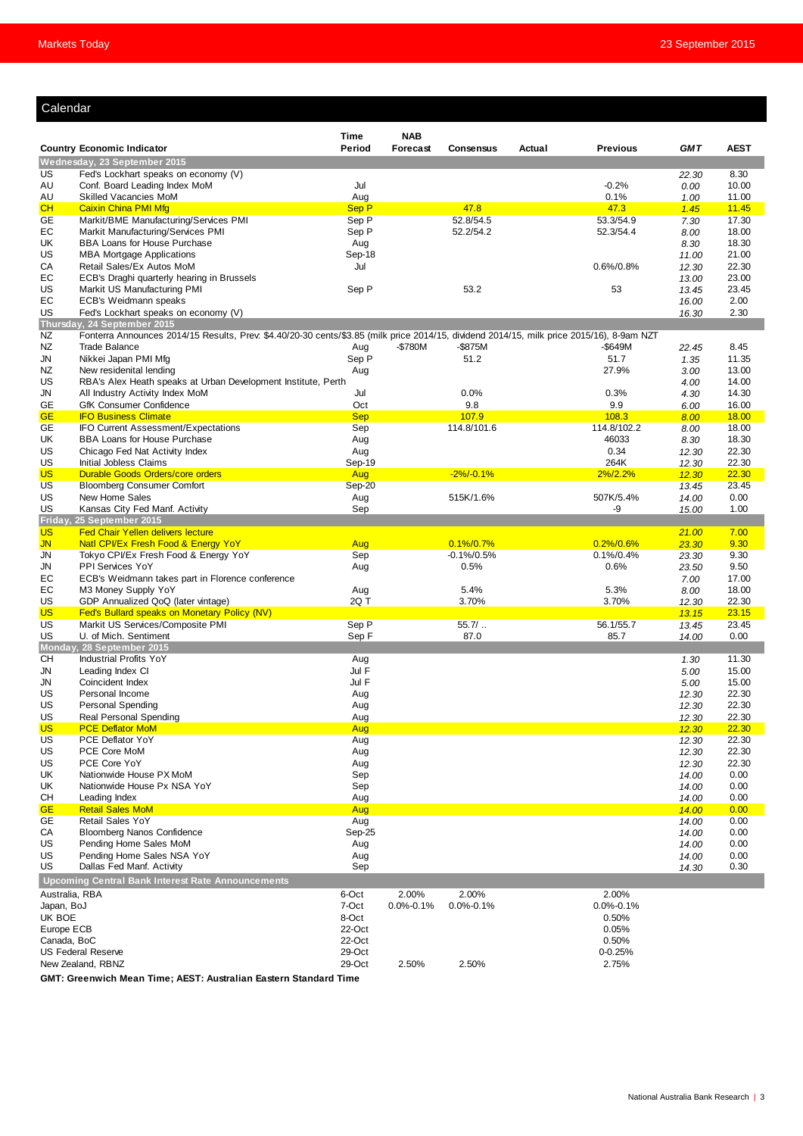#### Calendar

| ualtilual                                |                                                                                                                                           |                  |                 |                  |        |                  |                |                |
|------------------------------------------|-------------------------------------------------------------------------------------------------------------------------------------------|------------------|-----------------|------------------|--------|------------------|----------------|----------------|
|                                          |                                                                                                                                           | Time             | <b>NAB</b>      |                  |        |                  |                |                |
|                                          | <b>Country Economic Indicator</b>                                                                                                         | Period           | Forecast        | <b>Consensus</b> | Actual | <b>Previous</b>  | <b>GMT</b>     | <b>AEST</b>    |
|                                          | Wednesday, 23 September 2015                                                                                                              |                  |                 |                  |        |                  |                |                |
| US                                       | Fed's Lockhart speaks on economy (V)                                                                                                      |                  |                 |                  |        |                  | 22.30          | 8.30           |
| AU                                       | Conf. Board Leading Index MoM                                                                                                             | Jul              |                 |                  |        | $-0.2%$          | 0.00           | 10.00          |
| AU                                       | Skilled Vacancies MoM                                                                                                                     | Aug              |                 |                  |        | 0.1%             | 1.00           | 11.00          |
| CH                                       | <b>Caixin China PMI Mfg</b>                                                                                                               | Sep P            |                 | 47.8             |        | 47.3             | 1.45           | 11.45          |
| GE                                       | Markit/BME Manufacturing/Services PMI                                                                                                     | Sep P            |                 | 52.8/54.5        |        | 53.3/54.9        | 7.30           | 17.30          |
| EC                                       | Markit Manufacturing/Services PMI<br><b>BBA Loans for House Purchase</b>                                                                  | Sep P            |                 | 52.2/54.2        |        | 52.3/54.4        | 8.00           | 18.00          |
| UK<br>US                                 | <b>MBA Mortgage Applications</b>                                                                                                          | Aug<br>Sep-18    |                 |                  |        |                  | 8.30<br>11.00  | 18.30<br>21.00 |
| CA                                       | Retail Sales/Ex Autos MoM                                                                                                                 | Jul              |                 |                  |        | $0.6\%/0.8\%$    | 12.30          | 22.30          |
| EС                                       | ECB's Draghi quarterly hearing in Brussels                                                                                                |                  |                 |                  |        |                  | 13.00          | 23.00          |
| US                                       | Markit US Manufacturing PMI                                                                                                               | Sep P            |                 | 53.2             |        | 53               | 13.45          | 23.45          |
| EC                                       | ECB's Weidmann speaks                                                                                                                     |                  |                 |                  |        |                  | 16.00          | 2.00           |
| US                                       | Fed's Lockhart speaks on economy (V)                                                                                                      |                  |                 |                  |        |                  | 16.30          | 2.30           |
|                                          | Thursday, 24 September 2015                                                                                                               |                  |                 |                  |        |                  |                |                |
| NZ                                       | Fonterra Announces 2014/15 Results, Prev. \$4.40/20-30 cents/\$3.85 (milk price 2014/15, dividend 2014/15, milk price 2015/16), 8-9am NZT |                  |                 |                  |        |                  |                |                |
| NZ                                       | <b>Trade Balance</b>                                                                                                                      | Aug              | $-$780M$        | -\$875M          |        | -\$649M          | 22.45          | 8.45           |
| JN                                       | Nikkei Japan PMI Mfg                                                                                                                      | Sep P            |                 | 51.2             |        | 51.7             | 1.35           | 11.35          |
| NZ<br>US                                 | New residenital lending<br>RBA's Alex Heath speaks at Urban Development Institute, Perth                                                  | Aug              |                 |                  |        | 27.9%            | 3.00           | 13.00          |
| JN                                       | All Industry Activity Index MoM                                                                                                           | Jul              |                 | 0.0%             |        | 0.3%             | 4.00<br>4.30   | 14.00<br>14.30 |
| GE                                       | GfK Consumer Confidence                                                                                                                   | Oct              |                 | 9.8              |        | 9.9              | 6.00           | 16.00          |
| <b>GE</b>                                | <b>IFO Business Climate</b>                                                                                                               | <b>Sep</b>       |                 | 107.9            |        | 108.3            | 8.00           | 18.00          |
| GE                                       | IFO Current Assessment/Expectations                                                                                                       | Sep              |                 | 114.8/101.6      |        | 114.8/102.2      | 8.00           | 18.00          |
| UK                                       | BBA Loans for House Purchase                                                                                                              | Aug              |                 |                  |        | 46033            | 8.30           | 18.30          |
| US                                       | Chicago Fed Nat Activity Index                                                                                                            | Aug              |                 |                  |        | 0.34             | 12.30          | 22.30          |
| US                                       | Initial Jobless Claims                                                                                                                    | Sep-19           |                 |                  |        | 264K             | 12.30          | 22.30          |
| <b>US</b>                                | Durable Goods Orders/core orders                                                                                                          | Aug              |                 | $-2\%/0.1\%$     |        | $2\%/2.2\%$      | 12.30          | 22.30          |
| US                                       | <b>Bloomberg Consumer Comfort</b>                                                                                                         | Sep-20           |                 |                  |        |                  | 13.45          | 23.45          |
| US                                       | New Home Sales                                                                                                                            | Aug              |                 | 515K/1.6%        |        | 507K/5.4%        | 14.00          | 0.00           |
| US<br>Friday,                            | Kansas City Fed Manf. Activity                                                                                                            | Sep              |                 |                  |        | -9               | 15.00          | 1.00           |
| <b>US</b>                                | 25 September 2015<br><b>Fed Chair Yellen delivers lecture</b>                                                                             |                  |                 |                  |        |                  | 21.00          | 7.00           |
| <b>JN</b>                                | Natl CPI/Ex Fresh Food & Energy YoY                                                                                                       | Aug              |                 | $0.1\%/0.7\%$    |        | $0.2\%/0.6\%$    | 23.30          | 9.30           |
| <b>JN</b>                                | Tokyo CPI/Ex Fresh Food & Energy YoY                                                                                                      | Sep              |                 | $-0.1\%/0.5\%$   |        | $0.1\%/0.4\%$    | 23.30          | 9.30           |
| JN                                       | PPI Services YoY                                                                                                                          | Aug              |                 | 0.5%             |        | 0.6%             | 23.50          | 9.50           |
| EC                                       | ECB's Weidmann takes part in Florence conference                                                                                          |                  |                 |                  |        |                  | 7.00           | 17.00          |
| EС                                       | M3 Money Supply YoY                                                                                                                       | Aug              |                 | 5.4%             |        | 5.3%             | 8.00           | 18.00          |
| US                                       | GDP Annualized QoQ (later vintage)                                                                                                        | 2Q T             |                 | 3.70%            |        | 3.70%            | 12.30          | 22.30          |
| <b>US</b>                                | Fed's Bullard speaks on Monetary Policy (NV)                                                                                              |                  |                 |                  |        |                  | 13.15          | 23.15          |
| US                                       | Markit US Services/Composite PMI                                                                                                          | Sep P            |                 | $55.7/$          |        | 56.1/55.7        | 13.45          | 23.45          |
| US                                       | U. of Mich. Sentiment<br>Monday, 28 September 2015                                                                                        | Sep F            |                 | 87.0             |        | 85.7             | 14.00          | 0.00           |
| CН                                       | <b>Industrial Profits YoY</b>                                                                                                             | Aug              |                 |                  |        |                  | 1.30           | 11.30          |
| JN                                       | Leading Index CI                                                                                                                          | Jul F            |                 |                  |        |                  | 5.00           | 15.00          |
| JN                                       | Coincident Index                                                                                                                          | Jul F            |                 |                  |        |                  | 5.00           | 15.00          |
| US                                       | Personal Income                                                                                                                           | Aug              |                 |                  |        |                  | 12.30          | 22.30          |
| US                                       | Personal Spending                                                                                                                         | Aug              |                 |                  |        |                  | 12.30          | 22.30          |
| US                                       | Real Personal Spending                                                                                                                    | Aug              |                 |                  |        |                  | <u>12.30</u>   | 22.30          |
| <b>US</b>                                | <b>PCE Deflator MoM</b>                                                                                                                   | Aug              |                 |                  |        |                  | 12.30          | 22.30          |
| US                                       | PCE Deflator YoY                                                                                                                          | Aug              |                 |                  |        |                  | 12.30          | 22.30          |
| US                                       | PCE Core MoM                                                                                                                              | Aug              |                 |                  |        |                  | 12.30          | 22.30          |
| US                                       | PCE Core YoY                                                                                                                              | Aug              |                 |                  |        |                  | 12.30          | 22.30          |
| UK<br>UK                                 | Nationwide House PX MoM<br>Nationwide House Px NSA YoY                                                                                    | Sep              |                 |                  |        |                  | 14.00          | 0.00<br>0.00   |
| CН                                       | Leading Index                                                                                                                             | Sep<br>Aug       |                 |                  |        |                  | 14.00<br>14.00 | 0.00           |
| <b>GE</b>                                | <b>Retail Sales MoM</b>                                                                                                                   | Aug              |                 |                  |        |                  | 14.00          | 0.00           |
| GE                                       | Retail Sales YoY                                                                                                                          | Aug              |                 |                  |        |                  | 14.00          | 0.00           |
| CA                                       | <b>Bloomberg Nanos Confidence</b>                                                                                                         | Sep-25           |                 |                  |        |                  | 14.00          | 0.00           |
| US                                       | Pending Home Sales MoM                                                                                                                    | Aug              |                 |                  |        |                  | 14.00          | 0.00           |
| US                                       | Pending Home Sales NSA YoY                                                                                                                | Aug              |                 |                  |        |                  | 14.00          | 0.00           |
| US                                       | Dallas Fed Manf. Activity                                                                                                                 | Sep              |                 |                  |        |                  | 14.30          | 0.30           |
|                                          | <b>Upcoming Central Bank Interest Rate Announcements</b>                                                                                  |                  |                 |                  |        |                  |                |                |
| Australia, RBA                           |                                                                                                                                           | 6-Oct            | 2.00%           | 2.00%            |        | 2.00%            |                |                |
| Japan, BoJ                               |                                                                                                                                           | 7-Oct            | $0.0\% - 0.1\%$ | $0.0\% - 0.1\%$  |        | $0.0\% - 0.1\%$  |                |                |
| UK BOE                                   |                                                                                                                                           | 8-Oct            |                 |                  |        | 0.50%            |                |                |
| Europe ECB                               |                                                                                                                                           | 22-Oct           |                 |                  |        | 0.05%            |                |                |
| Canada, BoC<br><b>US Federal Reserve</b> |                                                                                                                                           | 22-Oct           |                 |                  |        | 0.50%            |                |                |
|                                          | New Zealand, RBNZ                                                                                                                         | 29-Oct<br>29-Oct | 2.50%           | 2.50%            |        | 0-0.25%<br>2.75% |                |                |
|                                          |                                                                                                                                           |                  |                 |                  |        |                  |                |                |

**GMT: Greenwich Mean Time; AEST: Australian Eastern Standard Time**